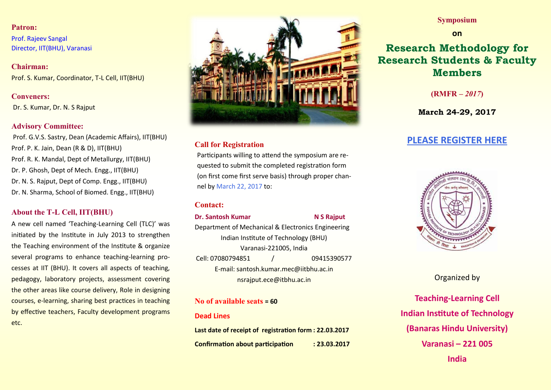#### **Patron:**

Prof. Rajeev Sangal Director, IIT(BHU), Varanasi

**Chairman:** Prof. S. Kumar, Coordinator, T-L Cell, IIT(BHU)

#### **Conveners:**

Dr. S. Kumar, Dr. N. S Rajput

#### **Advisory Committee:**

Prof. G.V.S. Sastry, Dean (Academic Affairs), IIT(BHU) Prof. P. K. Jain, Dean (R & D), IIT(BHU) Prof. R. K. Mandal, Dept of Metallurgy, IIT(BHU) Dr. P. Ghosh, Dept of Mech. Engg., IIT(BHU) Dr. N. S. Rajput, Dept of Comp. Engg., IIT(BHU) Dr. N. Sharma, School of Biomed. Engg., IIT(BHU)

## **About the T-L Cell, IIT(BHU)**

A new cell named 'Teaching-Learning Cell (TLC)' was initiated by the Institute in July 2013 to strengthen the Teaching environment of the Institute & organize several programs to enhance teaching-learning processes at IIT (BHU). It covers all aspects of teaching, pedagogy, laboratory projects, assessment covering the other areas like course delivery, Role in designing courses, e-learning, sharing best practices in teaching by effective teachers, Faculty development programs etc.



## **Call for Registration**

Participants willing to attend the symposium are requested to submit the completed registration form (on first come first serve basis) through proper channel by March 22, 2017 to:

#### **Contact:**

**Dr. Santosh Kumar N S Rajput** 

Department of Mechanical & Electronics Engineering Indian Institute of Technology (BHU) Varanasi-221005, India Cell: 07080794851 / 09415390577 E-mail: santosh.kumar.mec@iitbhu.ac.in nsrajput.ece@itbhu.ac.in

## **No of available seats = 60**

#### **Dead Lines**

**Last date of receipt of registration form : 22.03.2017 Confirmation about participation : 23.03.2017** 

## **Symposium**

#### **on**

# **Research Methodology for Research Students & Faculty Members**

**(RMFR** *– 2017***)**

**March 24-29, 2017**

## **[PLEASE REGISTER HERE](https://docs.google.com/a/itbhu.ac.in/forms/d/1x7fGmjCOZOZ9yIBcPQn_SXB4x_WpGi1a3_SDN4Oy3nw/edit)**



## Organized by

**Teaching-Learning Cell Indian Institute of Technology (Banaras Hindu University) Varanasi – 221 005 India**